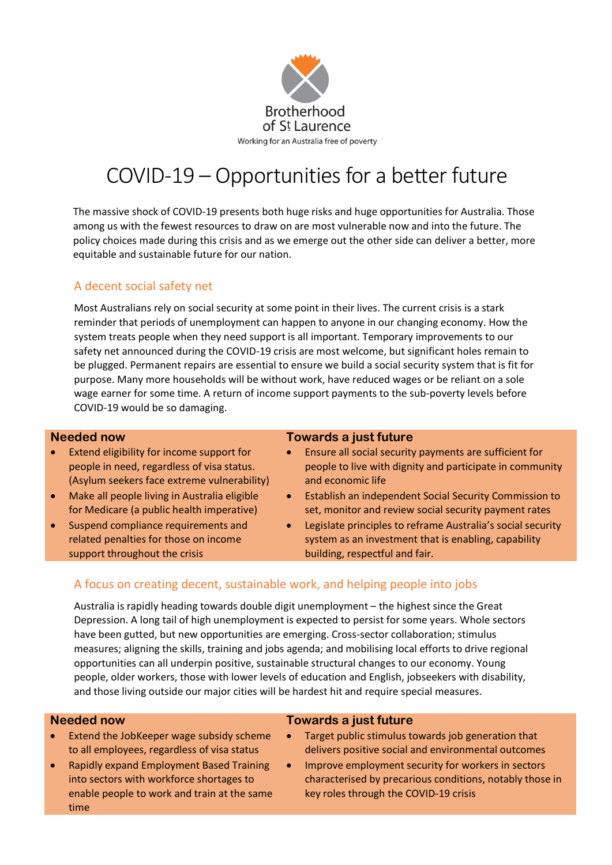

# COVID-19 – Opportunities for a better future

The massive shock of COVID-19 presents both huge risks and huge opportunities for Australia. Those among us with the fewest resources to draw on are most vulnerable now and into the future. The policy choices made during this crisis and as we emerge out the other side can deliver a better, more equitable and sustainable future for our nation.

## A decent social safety net

Most Australians rely on social security at some point in their lives. The current crisis is a stark reminder that periods of unemployment can happen to anyone in our changing economy. How the system treats people when they need support is all important. Temporary improvements to our safety net announced during the COVID-19 crisis are most welcome, but significant holes remain to be plugged. Permanent repairs are essential to ensure we build a social security system that is fit for purpose. Many more households will be without work, have reduced wages or be reliant on a sole wage earner for some time. A return of income support payments to the sub-poverty levels before COVID-19 would be so damaging.

- Extend eligibility for income support for people in need, regardless of visa status. (Asylum seekers face extreme vulnerability)
- Make all people living in Australia eligible for Medicare (a public health imperative)
- Suspend compliance requirements and related penalties for those on income support throughout the crisis

### **Needed now Towards a just future**

- Ensure all social security payments are sufficient for people to live with dignity and participate in community and economic life
- Establish an independent Social Security Commission to set, monitor and review social security payment rates
- Legislate principles to reframe Australia's social security system as an investment that is enabling, capability building, respectful and fair.

# A focus on creating decent, sustainable work, and helping people into jobs

Australia is rapidly heading towards double digit unemployment – the highest since the Great Depression. A long tail of high unemployment is expected to persist for some years. Whole sectors have been gutted, but new opportunities are emerging. Cross-sector collaboration; stimulus measures; aligning the skills, training and jobs agenda; and mobilising local efforts to drive regional opportunities can all underpin positive, sustainable structural changes to our economy. Young people, older workers, those with lower levels of education and English, jobseekers with disability, and those living outside our major cities will be hardest hit and require special measures.

- Extend the JobKeeper wage subsidy scheme to all employees, regardless of visa status
- Rapidly expand Employment Based Training into sectors with workforce shortages to enable people to work and train at the same time

### **Needed now Towards a just future**

- Target public stimulus towards job generation that delivers positive social and environmental outcomes
- Improve employment security for workers in sectors characterised by precarious conditions, notably those in key roles through the COVID-19 crisis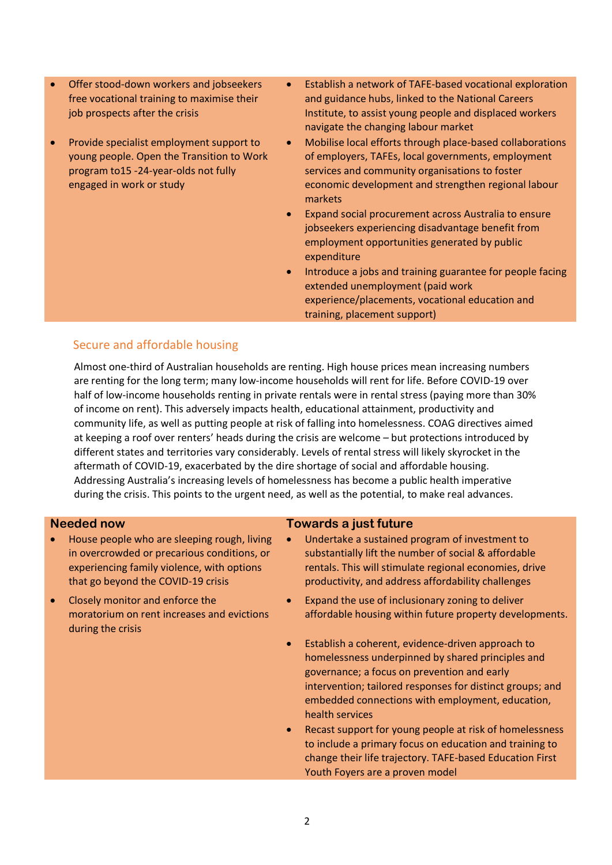- Offer stood-down workers and jobseekers free vocational training to maximise their job prospects after the crisis
- Provide specialist employment support to young people. Open the Transition to Work program to15 -24-year-olds not fully engaged in work or study
- Establish a network of TAFE-based vocational exploration and guidance hubs, linked to the National Careers Institute, to assist young people and displaced workers navigate the changing labour market
- Mobilise local efforts through place-based collaborations of employers, TAFEs, local governments, employment services and community organisations to foster economic development and strengthen regional labour markets
- Expand social procurement across Australia to ensure jobseekers experiencing disadvantage benefit from employment opportunities generated by public expenditure
- Introduce a jobs and training guarantee for people facing extended unemployment (paid work experience/placements, vocational education and training, placement support)

# Secure and affordable housing

Almost one-third of Australian households are renting. High house prices mean increasing numbers are renting for the long term; many low-income households will rent for life. Before COVID-19 over half of low-income households renting in private rentals were in rental stress (paying more than 30% of income on rent). This adversely impacts health, educational attainment, productivity and community life, as well as putting people at risk of falling into homelessness. COAG directives aimed at keeping a roof over renters' heads during the crisis are welcome – but protections introduced by different states and territories vary considerably. Levels of rental stress will likely skyrocket in the aftermath of COVID-19, exacerbated by the dire shortage of social and affordable housing. Addressing Australia's increasing levels of homelessness has become a public health imperative during the crisis. This points to the urgent need, as well as the potential, to make real advances.

- House people who are sleeping rough, living in overcrowded or precarious conditions, or experiencing family violence, with options that go beyond the COVID-19 crisis
- Closely monitor and enforce the moratorium on rent increases and evictions during the crisis

### **Needed now Towards a just future**

- Undertake a sustained program of investment to substantially lift the number of social & affordable rentals. This will stimulate regional economies, drive productivity, and address affordability challenges
- Expand the use of inclusionary zoning to deliver affordable housing within future property developments.
- Establish a coherent, evidence-driven approach to homelessness underpinned by shared principles and governance; a focus on prevention and early intervention; tailored responses for distinct groups; and embedded connections with employment, education, health services
- Recast support for young people at risk of homelessness to include a primary focus on education and training to change their life trajectory. TAFE-based Education First Youth Foyers are a proven model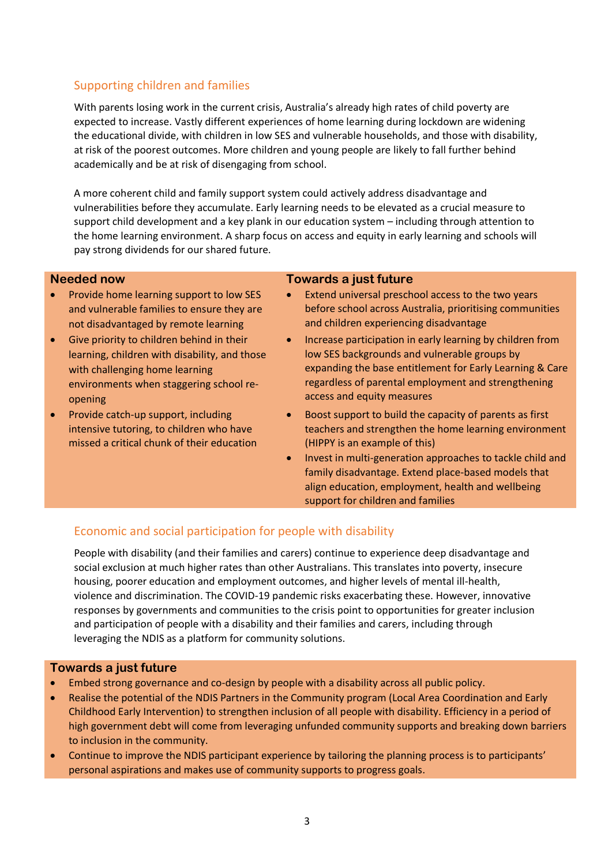# Supporting children and families

With parents losing work in the current crisis, Australia's already high rates of child poverty are expected to increase. Vastly different experiences of home learning during lockdown are widening the educational divide, with children in low SES and vulnerable households, and those with disability, at risk of the poorest outcomes. More children and young people are likely to fall further behind academically and be at risk of disengaging from school.

A more coherent child and family support system could actively address disadvantage and vulnerabilities before they accumulate. Early learning needs to be elevated as a crucial measure to support child development and a key plank in our education system – including through attention to the home learning environment. A sharp focus on access and equity in early learning and schools will pay strong dividends for our shared future.

- Provide home learning support to low SES and vulnerable families to ensure they are not disadvantaged by remote learning
- Give priority to children behind in their learning, children with disability, and those with challenging home learning environments when staggering school reopening
- Provide catch-up support, including intensive tutoring, to children who have missed a critical chunk of their education

### **Needed now Towards a just future**

- Extend universal preschool access to the two years before school across Australia, prioritising communities and children experiencing disadvantage
- Increase participation in early learning by children from low SES backgrounds and vulnerable groups by expanding the base entitlement for Early Learning & Care regardless of parental employment and strengthening access and equity measures
- Boost support to build the capacity of parents as first teachers and strengthen the home learning environment (HIPPY is an example of this)
- Invest in multi-generation approaches to tackle child and family disadvantage. Extend place-based models that align education, employment, health and wellbeing support for children and families

# Economic and social participation for people with disability

People with disability (and their families and carers) continue to experience deep disadvantage and social exclusion at much higher rates than other Australians. This translates into poverty, insecure housing, poorer education and employment outcomes, and higher levels of mental ill-health, violence and discrimination. The COVID-19 pandemic risks exacerbating these. However, innovative responses by governments and communities to the crisis point to opportunities for greater inclusion and participation of people with a disability and their families and carers, including through leveraging the NDIS as a platform for community solutions.

### **Towards a just future**

- Embed strong governance and co-design by people with a disability across all public policy.
- Realise the potential of the NDIS Partners in the Community program (Local Area Coordination and Early Childhood Early Intervention) to strengthen inclusion of all people with disability. Efficiency in a period of high government debt will come from leveraging unfunded community supports and breaking down barriers to inclusion in the community.
- Continue to improve the NDIS participant experience by tailoring the planning process is to participants' personal aspirations and makes use of community supports to progress goals.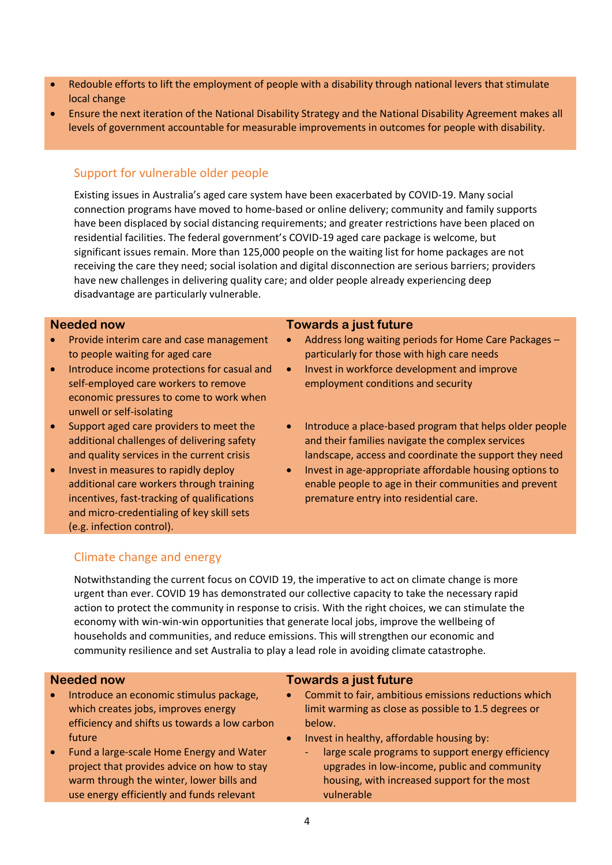- Redouble efforts to lift the employment of people with a disability through national levers that stimulate local change
- Ensure the next iteration of the National Disability Strategy and the National Disability Agreement makes all levels of government accountable for measurable improvements in outcomes for people with disability.

# Support for vulnerable older people

Existing issues in Australia's aged care system have been exacerbated by COVID-19. Many social connection programs have moved to home-based or online delivery; community and family supports have been displaced by social distancing requirements; and greater restrictions have been placed on residential facilities. The federal government's COVID-19 aged care package is welcome, but significant issues remain. More than 125,000 people on the waiting list for home packages are not receiving the care they need; social isolation and digital disconnection are serious barriers; providers have new challenges in delivering quality care; and older people already experiencing deep disadvantage are particularly vulnerable.

- Provide interim care and case management to people waiting for aged care
- Introduce income protections for casual and self-employed care workers to remove economic pressures to come to work when unwell or self-isolating
- Support aged care providers to meet the additional challenges of delivering safety and quality services in the current crisis
- Invest in measures to rapidly deploy additional care workers through training incentives, fast-tracking of qualifications and micro-credentialing of key skill sets (e.g. infection control).

### **Needed now Towards a just future**

- Address long waiting periods for Home Care Packages particularly for those with high care needs
- Invest in workforce development and improve employment conditions and security
- Introduce a place-based program that helps older people and their families navigate the complex services landscape, access and coordinate the support they need
- Invest in age-appropriate affordable housing options to enable people to age in their communities and prevent premature entry into residential care.

# Climate change and energy

Notwithstanding the current focus on COVID 19, the imperative to act on climate change is more urgent than ever. COVID 19 has demonstrated our collective capacity to take the necessary rapid action to protect the community in response to crisis. With the right choices, we can stimulate the economy with win-win-win opportunities that generate local jobs, improve the wellbeing of households and communities, and reduce emissions. This will strengthen our economic and community resilience and set Australia to play a lead role in avoiding climate catastrophe.

- Introduce an economic stimulus package, which creates jobs, improves energy efficiency and shifts us towards a low carbon future
- Fund a large-scale Home Energy and Water project that provides advice on how to stay warm through the winter, lower bills and use energy efficiently and funds relevant

### **Needed now Towards a just future**

- Commit to fair, ambitious emissions reductions which limit warming as close as possible to 1.5 degrees or below.
- Invest in healthy, affordable housing by:
	- large scale programs to support energy efficiency upgrades in low-income, public and community housing, with increased support for the most vulnerable